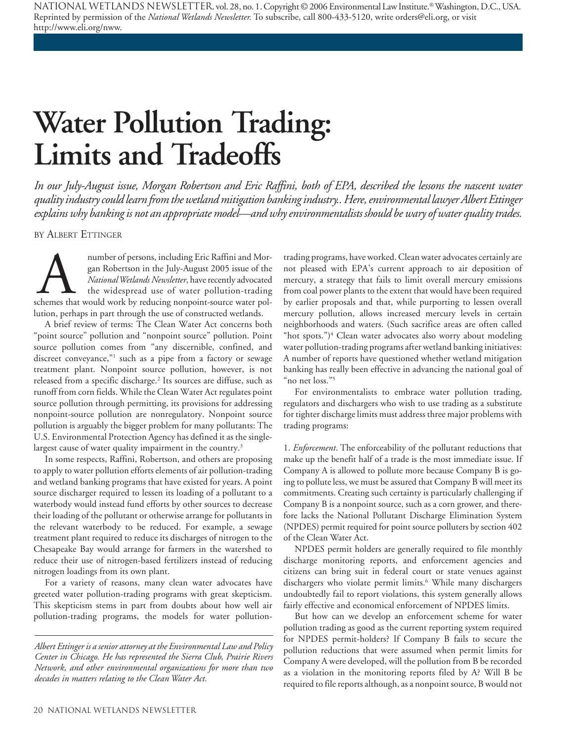National Wetlands Newsletter, vol. 28, no. 1. Copyright © 2006 Environmental Law Institute.® Washington, D.C., USA. Reprinted by permission of the *National Wetlands Newsletter.* To subscribe, call 800-433-5120, write orders@eli.org, or visit http://www.eli.org/nww.

## **Water Pollution Trading: Limits and Tradeoffs**

*In our July-August issue, Morgan Robertson and Eric Raffini, both of EPA, described the lessons the nascent water quality industry could learn from the wetland mitigation banking industry.. Here, environmental lawyer Albert Ettinger explains why banking is not an appropriate model—and why environmentalists should be wary of water quality trades.*

BY ALBERT ETTINGER

number of persons, including Eric Raffini and Morgan Robertson in the July-August 2005 issue of the *National Wetlands Newsletter*, have recently advocated the widespread use of water pollution-trading schemes that would w number of persons, including Eric Raffini and Morgan Robertson in the July-August 2005 issue of the *National Wetlands Newsletter*, have recently advocated the widespread use of water pollution-trading lution, perhaps in part through the use of constructed wetlands.

A brief review of terms: The Clean Water Act concerns both "point source" pollution and "nonpoint source" pollution. Point source pollution comes from "any discernible, confined, and discreet conveyance,"1 such as a pipe from a factory or sewage treatment plant. Nonpoint source pollution, however, is not released from a specific discharge.<sup>2</sup> Its sources are diffuse, such as runoff from corn fields. While the Clean Water Act regulates point source pollution through permitting, its provisions for addressing nonpoint-source pollution are nonregulatory. Nonpoint source pollution is arguably the bigger problem for many pollutants: The U.S. Environmental Protection Agency has defined it as the singlelargest cause of water quality impairment in the country.<sup>3</sup>

In some respects, Raffini, Robertson, and others are proposing to apply to water pollution efforts elements of air pollution-trading and wetland banking programs that have existed for years. A point source discharger required to lessen its loading of a pollutant to a waterbody would instead fund efforts by other sources to decrease their loading of the pollutant or otherwise arrange for pollutants in the relevant waterbody to be reduced. For example, a sewage treatment plant required to reduce its discharges of nitrogen to the Chesapeake Bay would arrange for farmers in the watershed to reduce their use of nitrogen-based fertilizers instead of reducing nitrogen loadings from its own plant.

For a variety of reasons, many clean water advocates have greeted water pollution-trading programs with great skepticism. This skepticism stems in part from doubts about how well air pollution-trading programs, the models for water pollution-

trading programs, have worked. Clean water advocates certainly are not pleased with EPA's current approach to air deposition of mercury, a strategy that fails to limit overall mercury emissions from coal power plants to the extent that would have been required by earlier proposals and that, while purporting to lessen overall mercury pollution, allows increased mercury levels in certain neighborhoods and waters. (Such sacrifice areas are often called "hot spots.") $\rm ^4$  Clean water advocates also worry about modeling water pollution-trading programs after wetland banking initiatives: A number of reports have questioned whether wetland mitigation banking has really been effective in advancing the national goal of "no net loss."5

For environmentalists to embrace water pollution trading, regulators and dischargers who wish to use trading as a substitute for tighter discharge limits must address three major problems with trading programs:

1. *Enforcement*. The enforceability of the pollutant reductions that make up the benefit half of a trade is the most immediate issue. If Company A is allowed to pollute more because Company B is going to pollute less, we must be assured that Company B will meet its commitments. Creating such certainty is particularly challenging if Company B is a nonpoint source, such as a corn grower, and therefore lacks the National Pollutant Discharge Elimination System (NPDES) permit required for point source polluters by section 402 of the Clean Water Act.

NPDES permit holders are generally required to file monthly discharge monitoring reports, and enforcement agencies and citizens can bring suit in federal court or state venues against dischargers who violate permit limits.6 While many dischargers undoubtedly fail to report violations, this system generally allows fairly effective and economical enforcement of NPDES limits.

But how can we develop an enforcement scheme for water pollution trading as good as the current reporting system required for NPDES permit-holders? If Company B fails to secure the pollution reductions that were assumed when permit limits for Company A were developed, will the pollution from B be recorded as a violation in the monitoring reports filed by A? Will B be required to file reports although, as a nonpoint source, B would not

*Albert Ettinger is a senior attorney at the Environmental Law and Policy Center in Chicago. He has represented the Sierra Club, Prairie Rivers Network, and other environmental organizations for more than two decades in matters relating to the Clean Water Act.*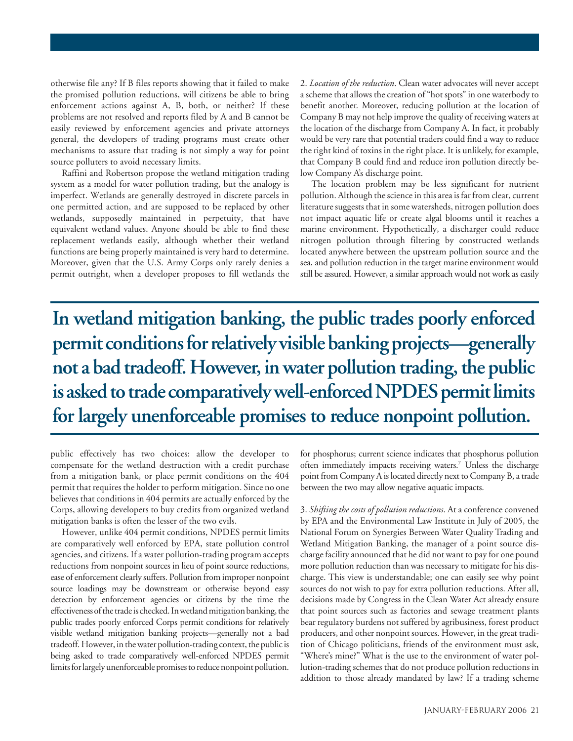otherwise file any? If B files reports showing that it failed to make the promised pollution reductions, will citizens be able to bring enforcement actions against A, B, both, or neither? If these problems are not resolved and reports filed by A and B cannot be easily reviewed by enforcement agencies and private attorneys general, the developers of trading programs must create other mechanisms to assure that trading is not simply a way for point source polluters to avoid necessary limits.

Raffini and Robertson propose the wetland mitigation trading system as a model for water pollution trading, but the analogy is imperfect. Wetlands are generally destroyed in discrete parcels in one permitted action, and are supposed to be replaced by other wetlands, supposedly maintained in perpetuity, that have equivalent wetland values. Anyone should be able to find these replacement wetlands easily, although whether their wetland functions are being properly maintained is very hard to determine. Moreover, given that the U.S. Army Corps only rarely denies a permit outright, when a developer proposes to fill wetlands the

2. *Location of the reduction*. Clean water advocates will never accept a scheme that allows the creation of "hot spots" in one waterbody to benefit another. Moreover, reducing pollution at the location of Company B may not help improve the quality of receiving waters at the location of the discharge from Company A. In fact, it probably would be very rare that potential traders could find a way to reduce the right kind of toxins in the right place. It is unlikely, for example, that Company B could find and reduce iron pollution directly below Company A's discharge point.

The location problem may be less significant for nutrient pollution. Although the science in this area is far from clear, current literature suggests that in some watersheds, nitrogen pollution does not impact aquatic life or create algal blooms until it reaches a marine environment. Hypothetically, a discharger could reduce nitrogen pollution through filtering by constructed wetlands located anywhere between the upstream pollution source and the sea, and pollution reduction in the target marine environment would still be assured. However, a similar approach would not work as easily

**In wetland mitigation banking, the public trades poorly enforced permit conditions for relatively visible banking projects—generally not a bad tradeoff. However, in water pollution trading, the public is asked to trade comparatively well-enforced NPDES permit limits for largely unenforceable promises to reduce nonpoint pollution.**

public effectively has two choices: allow the developer to compensate for the wetland destruction with a credit purchase from a mitigation bank, or place permit conditions on the 404 permit that requires the holder to perform mitigation. Since no one believes that conditions in 404 permits are actually enforced by the Corps, allowing developers to buy credits from organized wetland mitigation banks is often the lesser of the two evils.

However, unlike 404 permit conditions, NPDES permit limits are comparatively well enforced by EPA, state pollution control agencies, and citizens. If a water pollution-trading program accepts reductions from nonpoint sources in lieu of point source reductions, ease of enforcement clearly suffers. Pollution from improper nonpoint source loadings may be downstream or otherwise beyond easy detection by enforcement agencies or citizens by the time the effectiveness of the trade is checked. In wetland mitigation banking, the public trades poorly enforced Corps permit conditions for relatively visible wetland mitigation banking projects—generally not a bad tradeoff. However, in the water pollution-trading context, the public is being asked to trade comparatively well-enforced NPDES permit limits for largely unenforceable promises to reduce nonpoint pollution.

for phosphorus; current science indicates that phosphorus pollution often immediately impacts receiving waters.7 Unless the discharge point from Company A is located directly next to Company B, a trade between the two may allow negative aquatic impacts.

3. *Shifting the costs of pollution reductions*. At a conference convened by EPA and the Environmental Law Institute in July of 2005, the National Forum on Synergies Between Water Quality Trading and Wetland Mitigation Banking, the manager of a point source discharge facility announced that he did not want to pay for one pound more pollution reduction than was necessary to mitigate for his discharge. This view is understandable; one can easily see why point sources do not wish to pay for extra pollution reductions. After all, decisions made by Congress in the Clean Water Act already ensure that point sources such as factories and sewage treatment plants bear regulatory burdens not suffered by agribusiness, forest product producers, and other nonpoint sources. However, in the great tradition of Chicago politicians, friends of the environment must ask, "Where's mine?" What is the use to the environment of water pollution-trading schemes that do not produce pollution reductions in addition to those already mandated by law? If a trading scheme